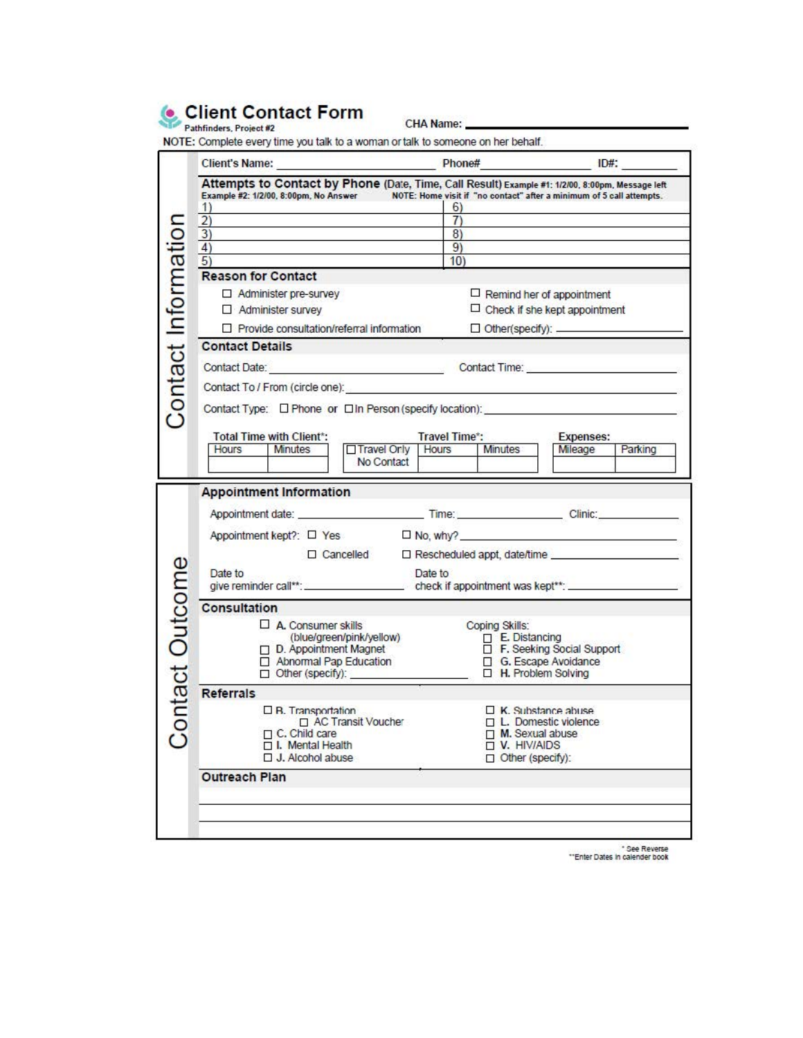

CHA Name: \_\_\_\_\_\_

|                    | Client's Name: Phone#                                                                                                                                                                                         |                                                                          | $ID#$ :            |  |
|--------------------|---------------------------------------------------------------------------------------------------------------------------------------------------------------------------------------------------------------|--------------------------------------------------------------------------|--------------------|--|
|                    | Attempts to Contact by Phone (Date, Time, Call Result) Example #1: 1/2/00, 8:00pm, Message left<br>Example #2: 1/2/00, 8:00pm, No Answer NOTE: Home visit if "no contact" after a minimum of 5 call attempts. |                                                                          |                    |  |
|                    | 1)<br>$\overline{2}$                                                                                                                                                                                          | 6)<br>$\overline{7}$                                                     |                    |  |
|                    | $\overline{3)}$                                                                                                                                                                                               | $\overline{8}$                                                           |                    |  |
|                    | 4)                                                                                                                                                                                                            | 9)                                                                       |                    |  |
|                    | 5)<br><b>Reason for Contact</b>                                                                                                                                                                               | 10)                                                                      |                    |  |
|                    |                                                                                                                                                                                                               |                                                                          |                    |  |
|                    | Administer pre-survey<br>Administer survey                                                                                                                                                                    | $\Box$ Remind her of appointment<br>$\Box$ Check if she kept appointment |                    |  |
|                    |                                                                                                                                                                                                               | Other(specify): ___________                                              |                    |  |
|                    | $\Box$ Provide consultation/referral information                                                                                                                                                              |                                                                          |                    |  |
|                    | <b>Contact Details</b>                                                                                                                                                                                        |                                                                          |                    |  |
|                    |                                                                                                                                                                                                               |                                                                          |                    |  |
|                    | Contact To / From (circle one): https://www.assett.com/                                                                                                                                                       |                                                                          |                    |  |
| Contact Informatio |                                                                                                                                                                                                               |                                                                          |                    |  |
|                    | <b>Total Time with Client*:</b><br>Travel Time*:<br><b>Expenses:</b>                                                                                                                                          |                                                                          |                    |  |
|                    | Travel Only<br><b>Minutes</b><br>Hours                                                                                                                                                                        | Minutes<br>Hours                                                         | Mileage<br>Parking |  |
|                    | No Contact                                                                                                                                                                                                    |                                                                          |                    |  |
|                    | <b>Appointment Information</b>                                                                                                                                                                                |                                                                          |                    |  |
|                    |                                                                                                                                                                                                               |                                                                          |                    |  |
|                    | Appointment kept?: □ Yes                                                                                                                                                                                      |                                                                          |                    |  |
|                    | $\Box$ Cancelled                                                                                                                                                                                              |                                                                          |                    |  |
|                    | Date to                                                                                                                                                                                                       | Date to                                                                  |                    |  |
| ontact Outcome     |                                                                                                                                                                                                               |                                                                          |                    |  |
|                    | <b>Consultation</b>                                                                                                                                                                                           |                                                                          |                    |  |
|                    | $\Box$ A. Consumer skills                                                                                                                                                                                     | Coping Skills:                                                           |                    |  |
|                    | (blue/green/pink/yellow)                                                                                                                                                                                      | $\Box$ E. Distancing                                                     |                    |  |
|                    | $\Box$ D. Appointment Magnet<br>Abnormal Pap Education                                                                                                                                                        | F. Seeking Social Support<br>G. Escape Avoidance                         |                    |  |
|                    | Other (specify): _____                                                                                                                                                                                        | H. Problem Solving                                                       |                    |  |
|                    | <b>Referrals</b>                                                                                                                                                                                              |                                                                          |                    |  |
|                    | $\Box$ <b>B.</b> Transportation                                                                                                                                                                               | $\Box$ K. Substance abuse                                                |                    |  |
|                    | □ AC Transit Voucher                                                                                                                                                                                          | $\Box$ L. Domestic violence                                              |                    |  |
| $\circ$            | C. Child care<br>I. Mental Health                                                                                                                                                                             | M. Sexual abuse<br>V. HIV/AIDS                                           |                    |  |
|                    | $\Box$ J. Alcohol abuse                                                                                                                                                                                       | Other (specify):                                                         |                    |  |
|                    | <b>Outreach Plan</b>                                                                                                                                                                                          |                                                                          |                    |  |
|                    |                                                                                                                                                                                                               |                                                                          |                    |  |
|                    |                                                                                                                                                                                                               |                                                                          |                    |  |
|                    |                                                                                                                                                                                                               |                                                                          |                    |  |

• **SeeRe\<eM ' "Entel Oa:K h caienaer OOOk**